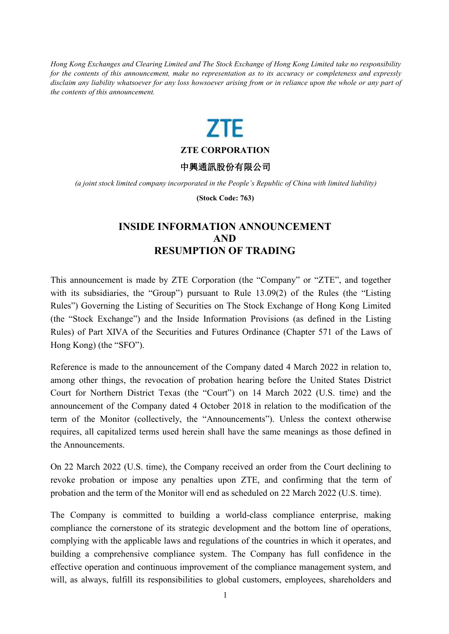Hong Kong Exchanges and Clearing Limited and The Stock Exchange of Hong Kong Limited take no responsibility for the contents of this announcement, make no representation as to its accuracy or completeness and expressly disclaim any liability whatsoever for any loss howsoever arising from or in reliance upon the whole or any part of *the contents of this announcement.*



## **ZTE CORPORATION**

## 中興通訊股份有限公司

*(a joint stock limited company incorporated in the People's Republic of China with limited liability)*

**(Stock Code: 763)**

## **INSIDE INFORMATION ANNOUNCEMENT AND RESUMPTION OF TRADING**

This announcement is made by ZTE Corporation (the "Company" or "ZTE", and together with its subsidiaries, the "Group") pursuant to Rule 13.09(2) of the Rules (the "Listing Rules") Governing the Listing of Securities on The Stock Exchange of Hong Kong Limited (the "Stock Exchange") and the Inside Information Provisions (as defined in the Listing Rules) of Part XIVA of the Securities and Futures Ordinance (Chapter 571 of the Laws of Hong Kong) (the "SFO").

Reference is made to the announcement of the Company dated 4 March 2022 in relation to, among other things, the revocation of probation hearing before the United States District Court for Northern District Texas (the "Court") on 14 March 2022 (U.S. time) and the announcement of the Company dated 4 October 2018 in relation to the modification of the term of the Monitor (collectively, the "Announcements"). Unless the context otherwise requires, all capitalized terms used herein shall have the same meanings as those defined in the Announcements.

On 22 March 2022 (U.S.time), the Company received an order from the Court declining to revoke probation or impose any penalties upon ZTE, and confirming that the term of probation and the term of the Monitor will end as scheduled on 22 March 2022 (U.S. time).

The Company is committed to building a world-class compliance enterprise, making compliance the cornerstone of its strategic development and the bottom line of operations, complying with the applicable laws and regulations of the countries in which it operates, and building a comprehensive compliance system. The Company has full confidence in the effective operation and continuous improvement of the compliance management system, and will, as always, fulfill its responsibilities to global customers, employees, shareholders and